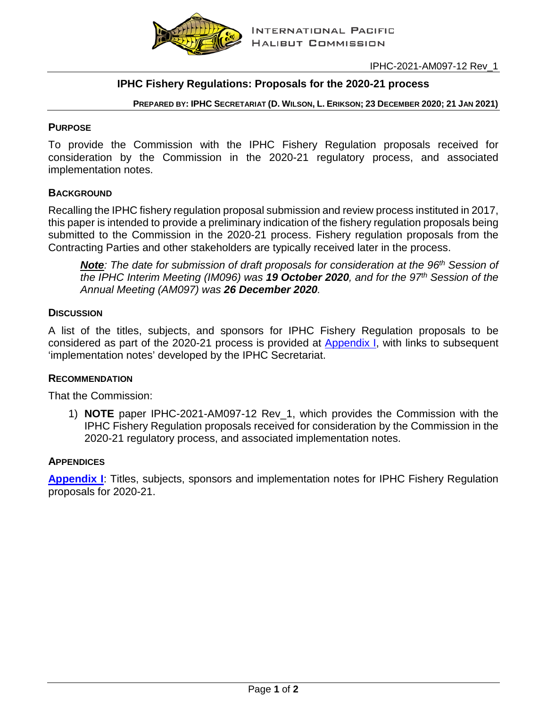

# **IPHC Fishery Regulations: Proposals for the 2020-21 process**

**PREPARED BY: IPHC SECRETARIAT (D. WILSON, L. ERIKSON; 23 DECEMBER 2020; 21 JAN 2021)**

## **PURPOSE**

To provide the Commission with the IPHC Fishery Regulation proposals received for consideration by the Commission in the 2020-21 regulatory process, and associated implementation notes.

## **BACKGROUND**

Recalling the IPHC fishery regulation proposal submission and review process instituted in 2017, this paper is intended to provide a preliminary indication of the fishery regulation proposals being submitted to the Commission in the 2020-21 process. Fishery regulation proposals from the Contracting Parties and other stakeholders are typically received later in the process.

*Note*: The date for submission of draft proposals for consideration at the 96<sup>th</sup> Session of *the IPHC Interim Meeting (IM096) was 19 October 2020, and for the 97th Session of the Annual Meeting (AM097) was 26 December 2020.*

## **DISCUSSION**

A list of the titles, subjects, and sponsors for IPHC Fishery Regulation proposals to be considered as part of the 2020-21 process is provided at **Appendix I**, with links to subsequent 'implementation notes' developed by the IPHC Secretariat.

# **RECOMMENDATION**

That the Commission:

1) **NOTE** paper IPHC-2021-AM097-12 Rev\_1, which provides the Commission with the IPHC Fishery Regulation proposals received for consideration by the Commission in the 2020-21 regulatory process, and associated implementation notes.

#### **APPENDICES**

**[Appendix I](#page-1-0)**: Titles, subjects, sponsors and implementation notes for IPHC Fishery Regulation proposals for 2020-21.